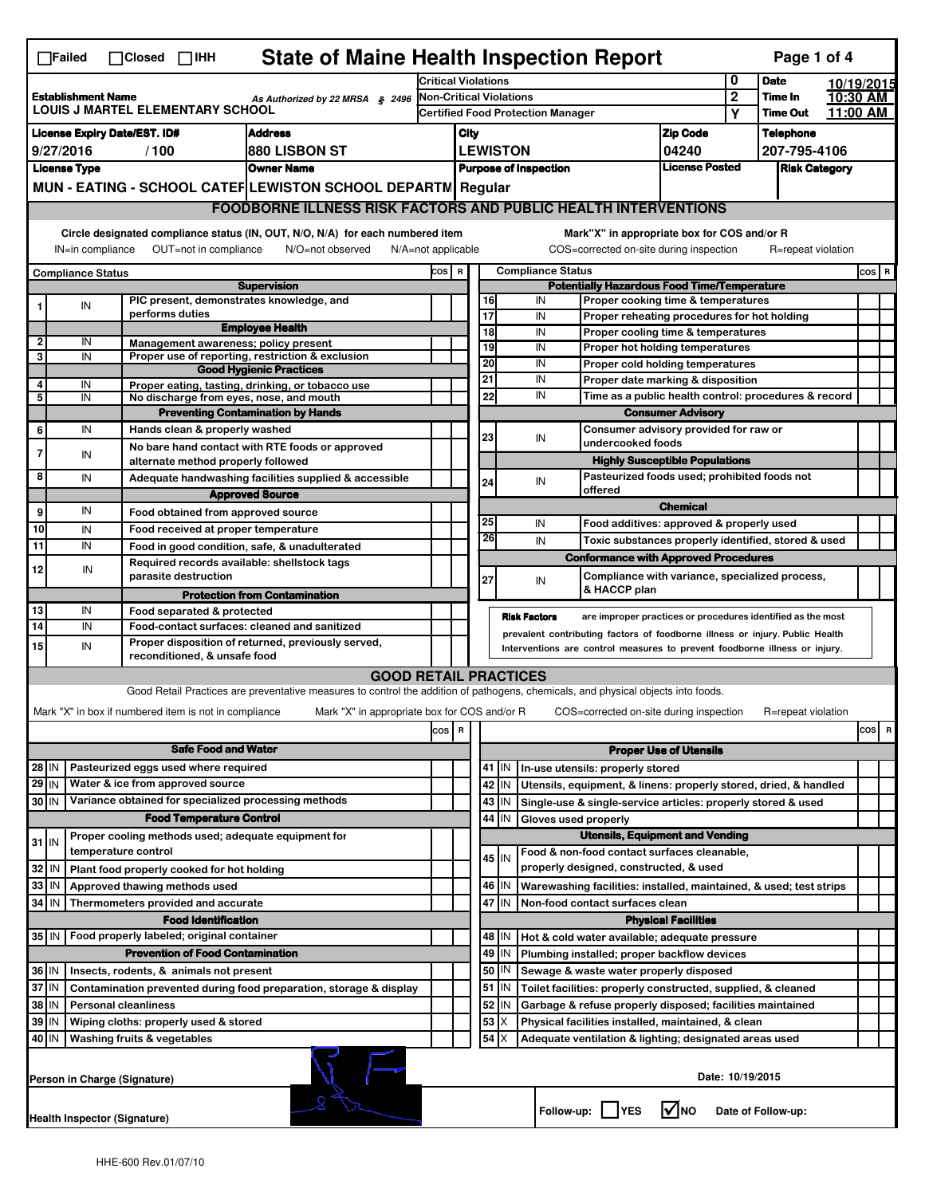| <b>State of Maine Health Inspection Report</b><br>Page 1 of 4<br>$\Box$ Failed<br>$\Box$ Closed $\Box$ IHH                                    |                                                                                                                                                   |                                                       |                                                                                                                                   |      |                                                                                |                                          |          |                     |                                                                  |                                                                              |                            |                  |                    |  |          |
|-----------------------------------------------------------------------------------------------------------------------------------------------|---------------------------------------------------------------------------------------------------------------------------------------------------|-------------------------------------------------------|-----------------------------------------------------------------------------------------------------------------------------------|------|--------------------------------------------------------------------------------|------------------------------------------|----------|---------------------|------------------------------------------------------------------|------------------------------------------------------------------------------|----------------------------|------------------|--------------------|--|----------|
| <b>Establishment Name</b><br>As Authorized by 22 MRSA § 2496<br><b>LOUIS J MARTEL ELEMENTARY SCHOOL</b>                                       |                                                                                                                                                   |                                                       | <b>Critical Violations</b>                                                                                                        |      |                                                                                |                                          |          |                     | 0                                                                | <b>Date</b>                                                                  |                            | 10/19/2015       |                    |  |          |
|                                                                                                                                               |                                                                                                                                                   |                                                       |                                                                                                                                   |      | <b>Non-Critical Violations</b>                                                 |                                          |          |                     |                                                                  | $\mathbf{2}$                                                                 | Time In                    |                  | 10:30 AM           |  |          |
|                                                                                                                                               |                                                                                                                                                   |                                                       |                                                                                                                                   |      |                                                                                | <b>Certified Food Protection Manager</b> |          |                     |                                                                  |                                                                              |                            | Υ                | <b>Time Out</b>    |  | 11:00 AM |
| <b>License Expiry Date/EST. ID#</b><br><b>Address</b>                                                                                         |                                                                                                                                                   |                                                       |                                                                                                                                   | City |                                                                                |                                          |          |                     |                                                                  | <b>Zip Code</b>                                                              |                            | <b>Telephone</b> |                    |  |          |
| 9/27/2016<br>/100<br>880 LISBON ST                                                                                                            |                                                                                                                                                   |                                                       |                                                                                                                                   |      | <b>LEWISTON</b><br>04240                                                       |                                          |          |                     | 207-795-4106                                                     |                                                                              |                            |                  |                    |  |          |
| <b>Owner Name</b><br><b>License Type</b><br>MUN - EATING - SCHOOL CATEF LEWISTON SCHOOL DEPARTN Regular                                       |                                                                                                                                                   |                                                       |                                                                                                                                   |      | <b>License Posted</b><br><b>Purpose of Inspection</b>                          |                                          |          |                     |                                                                  | <b>Risk Category</b>                                                         |                            |                  |                    |  |          |
|                                                                                                                                               |                                                                                                                                                   |                                                       |                                                                                                                                   |      |                                                                                |                                          |          |                     |                                                                  |                                                                              |                            |                  |                    |  |          |
|                                                                                                                                               |                                                                                                                                                   |                                                       | <b>FOODBORNE ILLNESS RISK FACTORS AND PUBLIC HEALTH INTERVENTIONS</b>                                                             |      |                                                                                |                                          |          |                     |                                                                  |                                                                              |                            |                  |                    |  |          |
|                                                                                                                                               | Circle designated compliance status (IN, OUT, N/O, N/A) for each numbered item<br>Mark"X" in appropriate box for COS and/or R<br>N/O=not observed |                                                       |                                                                                                                                   |      |                                                                                |                                          |          |                     |                                                                  |                                                                              |                            |                  |                    |  |          |
| OUT=not in compliance<br>COS=corrected on-site during inspection<br>IN=in compliance<br>$N/A = not$ applicable<br>R=repeat violation<br>COS R |                                                                                                                                                   |                                                       |                                                                                                                                   |      |                                                                                |                                          |          | $cos$ R             |                                                                  |                                                                              |                            |                  |                    |  |          |
|                                                                                                                                               | <b>Compliance Status</b>                                                                                                                          |                                                       | <b>Supervision</b>                                                                                                                |      | <b>Compliance Status</b><br><b>Potentially Hazardous Food Time/Temperature</b> |                                          |          |                     |                                                                  |                                                                              |                            |                  |                    |  |          |
|                                                                                                                                               | IN                                                                                                                                                | PIC present, demonstrates knowledge, and              |                                                                                                                                   |      |                                                                                |                                          | 16       | IN                  |                                                                  | Proper cooking time & temperatures                                           |                            |                  |                    |  |          |
|                                                                                                                                               |                                                                                                                                                   | performs duties                                       | <b>Employee Health</b>                                                                                                            |      |                                                                                |                                          | 17       | IN                  |                                                                  | Proper reheating procedures for hot holding                                  |                            |                  |                    |  |          |
| 2                                                                                                                                             | IN                                                                                                                                                | Management awareness; policy present                  |                                                                                                                                   |      |                                                                                |                                          | 18       | IN                  |                                                                  | Proper cooling time & temperatures                                           |                            |                  |                    |  |          |
| 3                                                                                                                                             | IN                                                                                                                                                |                                                       | Proper use of reporting, restriction & exclusion                                                                                  |      |                                                                                |                                          | 19<br>20 | IN<br>IN            |                                                                  | Proper hot holding temperatures                                              |                            |                  |                    |  |          |
|                                                                                                                                               |                                                                                                                                                   |                                                       | <b>Good Hygienic Practices</b>                                                                                                    |      |                                                                                |                                          | 21       | IN                  |                                                                  | Proper cold holding temperatures<br>Proper date marking & disposition        |                            |                  |                    |  |          |
| 4<br>5                                                                                                                                        | IN<br>IN                                                                                                                                          | No discharge from eyes, nose, and mouth               | Proper eating, tasting, drinking, or tobacco use                                                                                  |      |                                                                                |                                          | 22       | IN                  |                                                                  | Time as a public health control: procedures & record                         |                            |                  |                    |  |          |
|                                                                                                                                               |                                                                                                                                                   |                                                       | <b>Preventing Contamination by Hands</b>                                                                                          |      |                                                                                |                                          |          |                     |                                                                  | <b>Consumer Advisory</b>                                                     |                            |                  |                    |  |          |
| 6                                                                                                                                             | IN                                                                                                                                                | Hands clean & properly washed                         |                                                                                                                                   |      |                                                                                |                                          |          |                     |                                                                  | Consumer advisory provided for raw or                                        |                            |                  |                    |  |          |
|                                                                                                                                               |                                                                                                                                                   |                                                       | No bare hand contact with RTE foods or approved                                                                                   |      |                                                                                |                                          | 23       | IN                  |                                                                  | undercooked foods                                                            |                            |                  |                    |  |          |
|                                                                                                                                               | IN                                                                                                                                                | alternate method properly followed                    |                                                                                                                                   |      |                                                                                |                                          |          |                     |                                                                  | <b>Highly Susceptible Populations</b>                                        |                            |                  |                    |  |          |
| 8                                                                                                                                             | IN                                                                                                                                                |                                                       | Adequate handwashing facilities supplied & accessible                                                                             |      |                                                                                |                                          | 24       | IN                  |                                                                  | Pasteurized foods used; prohibited foods not                                 |                            |                  |                    |  |          |
|                                                                                                                                               |                                                                                                                                                   |                                                       | <b>Approved Source</b>                                                                                                            |      |                                                                                |                                          |          |                     |                                                                  | offered                                                                      |                            |                  |                    |  |          |
| 9                                                                                                                                             | IN                                                                                                                                                | Food obtained from approved source                    |                                                                                                                                   |      |                                                                                |                                          |          |                     |                                                                  |                                                                              | <b>Chemical</b>            |                  |                    |  |          |
| 10                                                                                                                                            | IN                                                                                                                                                | Food received at proper temperature                   |                                                                                                                                   |      |                                                                                |                                          | 25       | IN                  |                                                                  | Food additives: approved & properly used                                     |                            |                  |                    |  |          |
| 11                                                                                                                                            | IN                                                                                                                                                |                                                       | Food in good condition, safe, & unadulterated                                                                                     |      |                                                                                |                                          | 26       | IN                  |                                                                  | Toxic substances properly identified, stored & used                          |                            |                  |                    |  |          |
| 12                                                                                                                                            | IN                                                                                                                                                | Required records available: shellstock tags           |                                                                                                                                   |      |                                                                                |                                          |          |                     |                                                                  | <b>Conformance with Approved Procedures</b>                                  |                            |                  |                    |  |          |
|                                                                                                                                               |                                                                                                                                                   | parasite destruction                                  |                                                                                                                                   |      |                                                                                |                                          | 27       | IN                  |                                                                  | Compliance with variance, specialized process,<br>& HACCP plan               |                            |                  |                    |  |          |
|                                                                                                                                               |                                                                                                                                                   |                                                       | <b>Protection from Contamination</b>                                                                                              |      |                                                                                |                                          |          |                     |                                                                  |                                                                              |                            |                  |                    |  |          |
| 13                                                                                                                                            | IN                                                                                                                                                | Food separated & protected                            |                                                                                                                                   |      |                                                                                |                                          |          | <b>Risk Factors</b> |                                                                  | are improper practices or procedures identified as the most                  |                            |                  |                    |  |          |
| 14                                                                                                                                            | IN                                                                                                                                                |                                                       | Food-contact surfaces: cleaned and sanitized<br>Proper disposition of returned, previously served,                                |      |                                                                                |                                          |          |                     |                                                                  | prevalent contributing factors of foodborne illness or injury. Public Health |                            |                  |                    |  |          |
| 15                                                                                                                                            | IN                                                                                                                                                | reconditioned, & unsafe food                          |                                                                                                                                   |      | Interventions are control measures to prevent foodborne illness or injury.     |                                          |          |                     |                                                                  |                                                                              |                            |                  |                    |  |          |
|                                                                                                                                               |                                                                                                                                                   |                                                       | <b>GOOD RETAIL PRACTICES</b>                                                                                                      |      |                                                                                |                                          |          |                     |                                                                  |                                                                              |                            |                  |                    |  |          |
|                                                                                                                                               |                                                                                                                                                   |                                                       | Good Retail Practices are preventative measures to control the addition of pathogens, chemicals, and physical objects into foods. |      |                                                                                |                                          |          |                     |                                                                  |                                                                              |                            |                  |                    |  |          |
|                                                                                                                                               |                                                                                                                                                   | Mark "X" in box if numbered item is not in compliance | Mark "X" in appropriate box for COS and/or R                                                                                      |      |                                                                                |                                          |          |                     |                                                                  | COS=corrected on-site during inspection                                      |                            |                  | R=repeat violation |  |          |
|                                                                                                                                               |                                                                                                                                                   |                                                       |                                                                                                                                   | cos  | R                                                                              |                                          |          |                     |                                                                  |                                                                              |                            |                  |                    |  | cos<br>R |
|                                                                                                                                               | <b>Safe Food and Water</b>                                                                                                                        |                                                       |                                                                                                                                   |      |                                                                                | <b>Proper Use of Utensils</b>            |          |                     |                                                                  |                                                                              |                            |                  |                    |  |          |
| Pasteurized eggs used where required<br>28 IN                                                                                                 |                                                                                                                                                   |                                                       |                                                                                                                                   |      |                                                                                |                                          | 41   IN  |                     |                                                                  | In-use utensils: properly stored                                             |                            |                  |                    |  |          |
| $29$ IN<br>Water & ice from approved source                                                                                                   |                                                                                                                                                   |                                                       |                                                                                                                                   |      |                                                                                | 42<br>IN                                 |          |                     | Utensils, equipment, & linens: properly stored, dried, & handled |                                                                              |                            |                  |                    |  |          |
| Variance obtained for specialized processing methods<br>30 IN                                                                                 |                                                                                                                                                   |                                                       |                                                                                                                                   |      |                                                                                | 43<br>IN                                 |          |                     | Single-use & single-service articles: properly stored & used     |                                                                              |                            |                  |                    |  |          |
| <b>Food Temperature Control</b>                                                                                                               |                                                                                                                                                   |                                                       |                                                                                                                                   |      |                                                                                | IN<br>44<br>Gloves used properly         |          |                     |                                                                  |                                                                              |                            |                  |                    |  |          |
|                                                                                                                                               |                                                                                                                                                   | Proper cooling methods used; adequate equipment for   |                                                                                                                                   |      |                                                                                | <b>Utensils, Equipment and Vending</b>   |          |                     |                                                                  |                                                                              |                            |                  |                    |  |          |
| $31$ IN                                                                                                                                       |                                                                                                                                                   | temperature control                                   |                                                                                                                                   |      |                                                                                |                                          | 45 I IN  |                     |                                                                  | Food & non-food contact surfaces cleanable,                                  |                            |                  |                    |  |          |
| 32                                                                                                                                            | IN                                                                                                                                                | Plant food properly cooked for hot holding            |                                                                                                                                   |      |                                                                                |                                          |          |                     |                                                                  | properly designed, constructed, & used                                       |                            |                  |                    |  |          |
| 33                                                                                                                                            | IN                                                                                                                                                | Approved thawing methods used                         |                                                                                                                                   |      |                                                                                |                                          | 46<br>IN |                     |                                                                  | Warewashing facilities: installed, maintained, & used; test strips           |                            |                  |                    |  |          |
| 34                                                                                                                                            | IN                                                                                                                                                | Thermometers provided and accurate                    |                                                                                                                                   |      |                                                                                | 47 IN<br>Non-food contact surfaces clean |          |                     |                                                                  |                                                                              |                            |                  |                    |  |          |
|                                                                                                                                               |                                                                                                                                                   | <b>Food Identification</b>                            |                                                                                                                                   |      |                                                                                |                                          |          |                     |                                                                  |                                                                              | <b>Physical Facilities</b> |                  |                    |  |          |
| 35 IN                                                                                                                                         |                                                                                                                                                   | Food properly labeled; original container             |                                                                                                                                   |      |                                                                                |                                          | 48<br>IN |                     |                                                                  | Hot & cold water available; adequate pressure                                |                            |                  |                    |  |          |
| <b>Prevention of Food Contamination</b>                                                                                                       |                                                                                                                                                   |                                                       |                                                                                                                                   |      |                                                                                | 49<br>IN                                 |          |                     | Plumbing installed; proper backflow devices                      |                                                                              |                            |                  |                    |  |          |
| 36 IN<br>Insects, rodents, & animals not present                                                                                              |                                                                                                                                                   |                                                       |                                                                                                                                   |      |                                                                                | 50   IN                                  |          |                     | Sewage & waste water properly disposed                           |                                                                              |                            |                  |                    |  |          |
| 37 IN                                                                                                                                         |                                                                                                                                                   |                                                       | Contamination prevented during food preparation, storage & display                                                                |      |                                                                                |                                          | 51<br>IN |                     |                                                                  | Toilet facilities: properly constructed, supplied, & cleaned                 |                            |                  |                    |  |          |
| 38 IN<br><b>Personal cleanliness</b>                                                                                                          |                                                                                                                                                   |                                                       |                                                                                                                                   |      |                                                                                | 52<br>IN                                 |          |                     | Garbage & refuse properly disposed; facilities maintained        |                                                                              |                            |                  |                    |  |          |
| 39   IN<br>Wiping cloths: properly used & stored                                                                                              |                                                                                                                                                   |                                                       |                                                                                                                                   |      |                                                                                | 53                                       |          |                     | Physical facilities installed, maintained, & clean               |                                                                              |                            |                  |                    |  |          |
| 40   IN                                                                                                                                       |                                                                                                                                                   | Washing fruits & vegetables                           |                                                                                                                                   |      |                                                                                |                                          | 54       |                     |                                                                  | Adequate ventilation & lighting; designated areas used                       |                            |                  |                    |  |          |
|                                                                                                                                               | Date: 10/19/2015<br>Person in Charge (Signature)                                                                                                  |                                                       |                                                                                                                                   |      |                                                                                |                                          |          |                     |                                                                  |                                                                              |                            |                  |                    |  |          |
| Health Inspector (Signature)                                                                                                                  |                                                                                                                                                   |                                                       |                                                                                                                                   |      |                                                                                |                                          |          |                     |                                                                  | Follow-up:     YES                                                           | l✔lno                      |                  | Date of Follow-up: |  |          |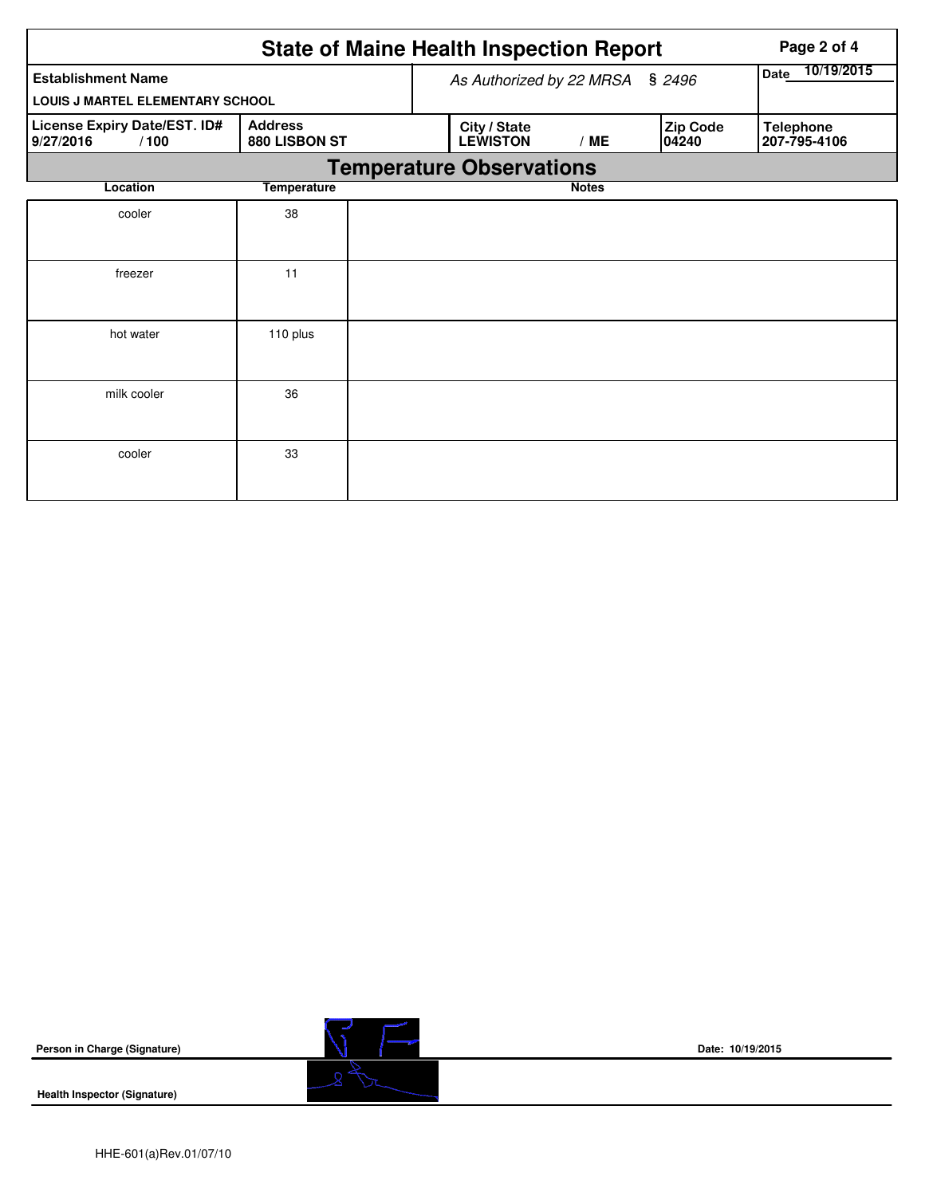|                                                   |                                 | <b>State of Maine Health Inspection Report</b> | Page 2 of 4                     |              |                   |                                  |  |  |  |  |
|---------------------------------------------------|---------------------------------|------------------------------------------------|---------------------------------|--------------|-------------------|----------------------------------|--|--|--|--|
| <b>Establishment Name</b>                         |                                 | As Authorized by 22 MRSA                       | 10/19/2015<br><b>Date</b>       |              |                   |                                  |  |  |  |  |
| LOUIS J MARTEL ELEMENTARY SCHOOL                  |                                 |                                                |                                 |              |                   |                                  |  |  |  |  |
| License Expiry Date/EST. ID#<br>/100<br>9/27/2016 | <b>Address</b><br>880 LISBON ST |                                                | City / State<br><b>LEWISTON</b> | /ME          | Zip Code<br>04240 | <b>Telephone</b><br>207-795-4106 |  |  |  |  |
| <b>Temperature Observations</b>                   |                                 |                                                |                                 |              |                   |                                  |  |  |  |  |
| Location                                          | <b>Temperature</b>              |                                                |                                 | <b>Notes</b> |                   |                                  |  |  |  |  |
| cooler                                            | 38                              |                                                |                                 |              |                   |                                  |  |  |  |  |
|                                                   |                                 |                                                |                                 |              |                   |                                  |  |  |  |  |
| freezer                                           | 11                              |                                                |                                 |              |                   |                                  |  |  |  |  |
|                                                   |                                 |                                                |                                 |              |                   |                                  |  |  |  |  |
| hot water                                         | 110 plus                        |                                                |                                 |              |                   |                                  |  |  |  |  |
|                                                   |                                 |                                                |                                 |              |                   |                                  |  |  |  |  |
| milk cooler                                       | 36                              |                                                |                                 |              |                   |                                  |  |  |  |  |
|                                                   |                                 |                                                |                                 |              |                   |                                  |  |  |  |  |
| cooler                                            | 33                              |                                                |                                 |              |                   |                                  |  |  |  |  |
|                                                   |                                 |                                                |                                 |              |                   |                                  |  |  |  |  |





**Date: 10/19/2015**

**Health Inspector (Signature)**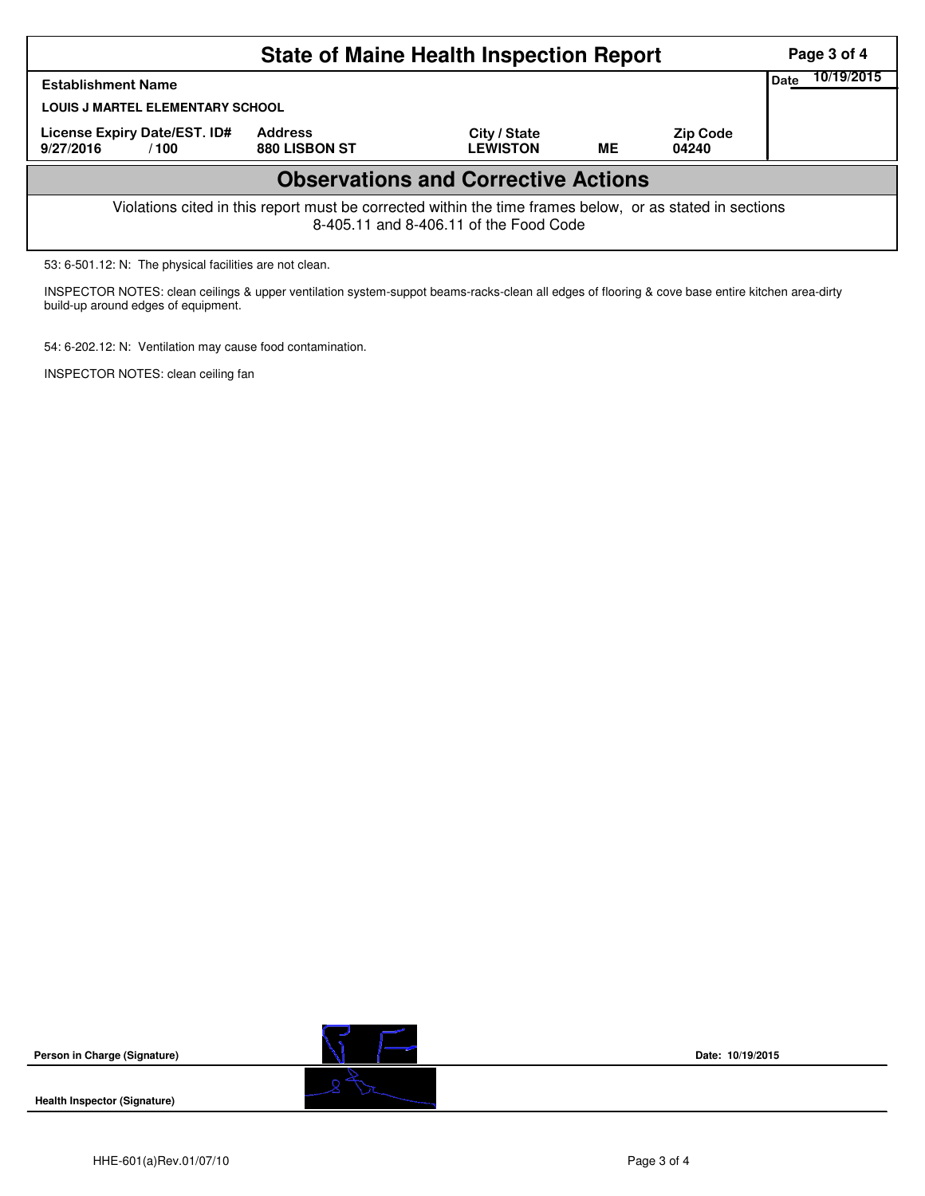| Page 3 of 4                                                                                                                                        |  |  |  |  |  |  |  |  |  |  |  |
|----------------------------------------------------------------------------------------------------------------------------------------------------|--|--|--|--|--|--|--|--|--|--|--|
| 10/19/2015<br>Date                                                                                                                                 |  |  |  |  |  |  |  |  |  |  |  |
|                                                                                                                                                    |  |  |  |  |  |  |  |  |  |  |  |
|                                                                                                                                                    |  |  |  |  |  |  |  |  |  |  |  |
| <b>Observations and Corrective Actions</b>                                                                                                         |  |  |  |  |  |  |  |  |  |  |  |
| Violations cited in this report must be corrected within the time frames below, or as stated in sections<br>8-405.11 and 8-406.11 of the Food Code |  |  |  |  |  |  |  |  |  |  |  |
|                                                                                                                                                    |  |  |  |  |  |  |  |  |  |  |  |

53: 6-501.12: N: The physical facilities are not clean.

INSPECTOR NOTES: clean ceilings & upper ventilation system-suppot beams-racks-clean all edges of flooring & cove base entire kitchen area-dirty build-up around edges of equipment.

54: 6-202.12: N: Ventilation may cause food contamination.

INSPECTOR NOTES: clean ceiling fan